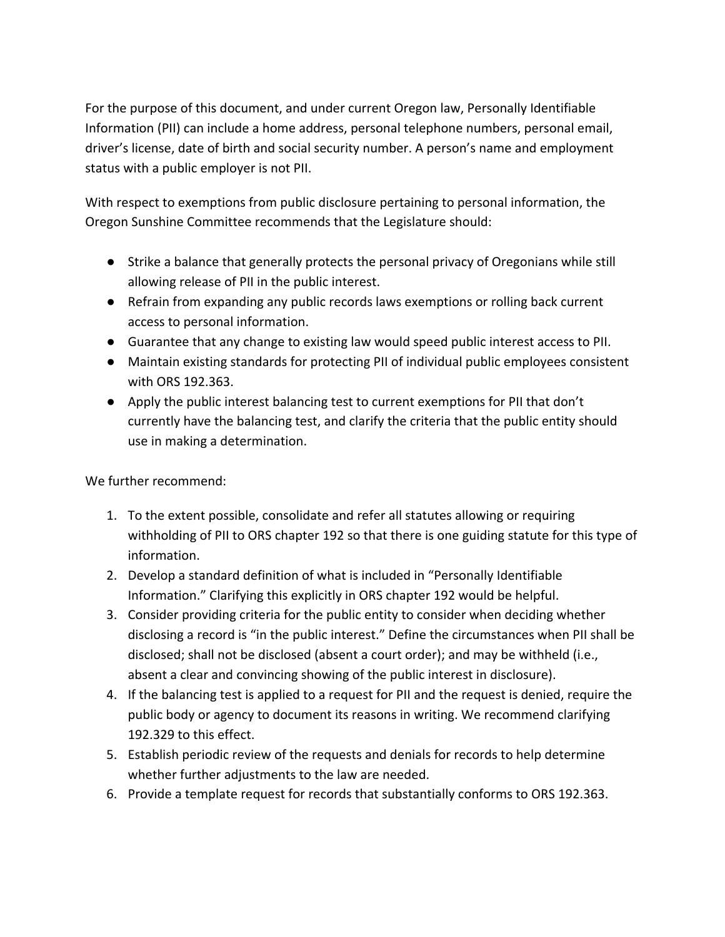For the purpose of this document, and under current Oregon law, Personally Identifiable Information (PII) can include a home address, personal telephone numbers, personal email, driver's license, date of birth and social security number. A person's name and employment status with a public employer is not PII.

With respect to exemptions from public disclosure pertaining to personal information, the Oregon Sunshine Committee recommends that the Legislature should:

- Strike a balance that generally protects the personal privacy of Oregonians while still allowing release of PII in the public interest.
- Refrain from expanding any public records laws exemptions or rolling back current access to personal information.
- Guarantee that any change to existing law would speed public interest access to PII.
- Maintain existing standards for protecting PII of individual public employees consistent with ORS 192.363.
- Apply the public interest balancing test to current exemptions for PII that don't currently have the balancing test, and clarify the criteria that the public entity should use in making a determination.

We further recommend:

- 1. To the extent possible, consolidate and refer all statutes allowing or requiring withholding of PII to ORS chapter 192 so that there is one guiding statute for this type of information.
- 2. Develop a standard definition of what is included in "Personally Identifiable Information." Clarifying this explicitly in ORS chapter 192 would be helpful.
- 3. Consider providing criteria for the public entity to consider when deciding whether disclosing a record is "in the public interest." Define the circumstances when PII shall be disclosed; shall not be disclosed (absent a court order); and may be withheld (i.e., absent a clear and convincing showing of the public interest in disclosure).
- 4. If the balancing test is applied to a request for PII and the request is denied, require the public body or agency to document its reasons in writing. We recommend clarifying 192.329 to this effect.
- 5. Establish periodic review of the requests and denials for records to help determine whether further adjustments to the law are needed.
- 6. Provide a template request for records that substantially conforms to ORS 192.363.